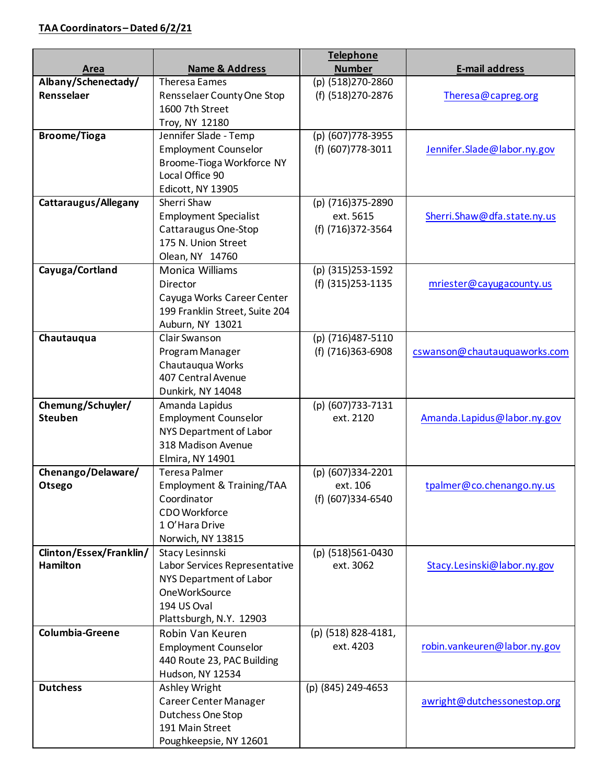|                         |                                      | <b>Telephone</b>               |                              |
|-------------------------|--------------------------------------|--------------------------------|------------------------------|
| Area                    | <b>Name &amp; Address</b>            | <b>Number</b>                  | <b>E-mail address</b>        |
| Albany/Schenectady/     | <b>Theresa Eames</b>                 | (p) (518)270-2860              |                              |
| Rensselaer              | Rensselaer County One Stop           | (f) (518) 270-2876             | Theresa@capreg.org           |
|                         | 1600 7th Street                      |                                |                              |
|                         | Troy, NY 12180                       |                                |                              |
| <b>Broome/Tioga</b>     | Jennifer Slade - Temp                | (p) (607)778-3955              |                              |
|                         | <b>Employment Counselor</b>          | (f) (607) 778-3011             | Jennifer.Slade@labor.ny.gov  |
|                         | Broome-Tioga Workforce NY            |                                |                              |
|                         | Local Office 90                      |                                |                              |
|                         | Edicott, NY 13905                    |                                |                              |
| Cattaraugus/Allegany    | Sherri Shaw                          | (p) (716)375-2890              |                              |
|                         | <b>Employment Specialist</b>         | ext. 5615                      | Sherri.Shaw@dfa.state.ny.us  |
|                         | Cattaraugus One-Stop                 | (f) (716)372-3564              |                              |
|                         | 175 N. Union Street                  |                                |                              |
|                         | Olean, NY 14760                      |                                |                              |
| Cayuga/Cortland         | Monica Williams                      | (p) (315)253-1592              |                              |
|                         | Director                             | (f) (315) 253-1135             | mriester@cayugacounty.us     |
|                         | Cayuga Works Career Center           |                                |                              |
|                         | 199 Franklin Street, Suite 204       |                                |                              |
|                         | Auburn, NY 13021                     |                                |                              |
| Chautauqua              | Clair Swanson                        | (p) (716)487-5110              |                              |
|                         | Program Manager                      | (f) (716)363-6908              | cswanson@chautauquaworks.com |
|                         | Chautauqua Works                     |                                |                              |
|                         | 407 Central Avenue                   |                                |                              |
|                         | Dunkirk, NY 14048                    |                                |                              |
| Chemung/Schuyler/       | Amanda Lapidus                       | (p) (607)733-7131              |                              |
| <b>Steuben</b>          | <b>Employment Counselor</b>          | ext. 2120                      | Amanda.Lapidus@labor.ny.gov  |
|                         | NYS Department of Labor              |                                |                              |
|                         | 318 Madison Avenue                   |                                |                              |
|                         | Elmira, NY 14901                     |                                |                              |
| Chenango/Delaware/      | <b>Teresa Palmer</b>                 | (p) (607)334-2201              |                              |
| Otsego                  | Employment & Training/TAA            | ext. 106                       | tpalmer@co.chenango.ny.us    |
|                         | Coordinator                          | (f) (607)334-6540              |                              |
|                         | CDO Workforce<br>1 O'Hara Drive      |                                |                              |
|                         |                                      |                                |                              |
| Clinton/Essex/Franklin/ | Norwich, NY 13815<br>Stacy Lesinnski |                                |                              |
| <b>Hamilton</b>         | Labor Services Representative        | (p) (518)561-0430<br>ext. 3062 | Stacy.Lesinski@labor.ny.gov  |
|                         | NYS Department of Labor              |                                |                              |
|                         | <b>OneWorkSource</b>                 |                                |                              |
|                         | 194 US Oval                          |                                |                              |
|                         | Plattsburgh, N.Y. 12903              |                                |                              |
| Columbia-Greene         | Robin Van Keuren                     | (p) (518) 828-4181,            |                              |
|                         | <b>Employment Counselor</b>          | ext. 4203                      | robin.vankeuren@labor.ny.gov |
|                         | 440 Route 23, PAC Building           |                                |                              |
|                         | Hudson, NY 12534                     |                                |                              |
| <b>Dutchess</b>         | Ashley Wright                        | (p) (845) 249-4653             |                              |
|                         | Career Center Manager                |                                | awright@dutchessonestop.org  |
|                         | Dutchess One Stop                    |                                |                              |
|                         | 191 Main Street                      |                                |                              |
|                         | Poughkeepsie, NY 12601               |                                |                              |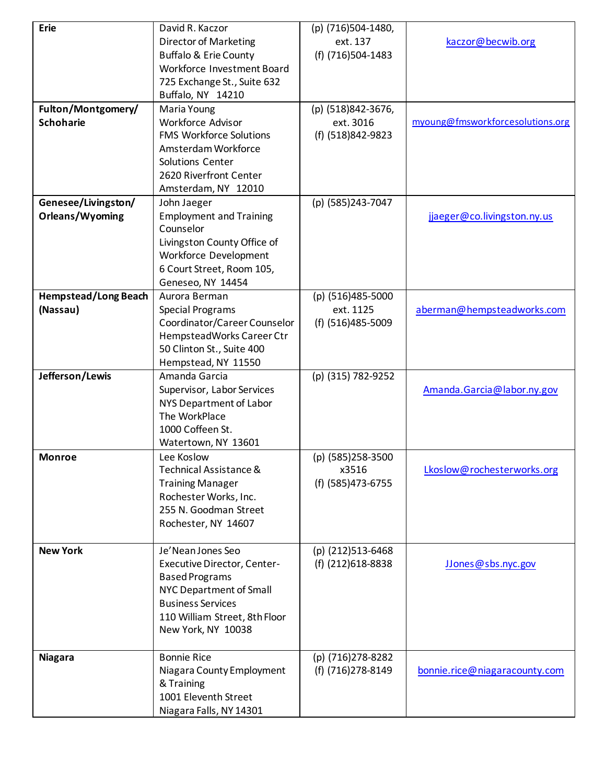| <b>Erie</b>                             | David R. Kaczor<br><b>Director of Marketing</b><br><b>Buffalo &amp; Erie County</b><br>Workforce Investment Board<br>725 Exchange St., Suite 632<br>Buffalo, NY 14210                          | (p) (716)504-1480,<br>ext. 137<br>(f) (716)504-1483  | kaczor@becwib.org                |
|-----------------------------------------|------------------------------------------------------------------------------------------------------------------------------------------------------------------------------------------------|------------------------------------------------------|----------------------------------|
| Fulton/Montgomery/<br><b>Schoharie</b>  | Maria Young<br><b>Workforce Advisor</b><br><b>FMS Workforce Solutions</b><br>Amsterdam Workforce<br>Solutions Center<br>2620 Riverfront Center<br>Amsterdam, NY 12010                          | (p) (518)842-3676,<br>ext. 3016<br>(f) (518)842-9823 | myoung@fmsworkforcesolutions.org |
| Genesee/Livingston/<br>Orleans/Wyoming  | John Jaeger<br><b>Employment and Training</b><br>Counselor<br>Livingston County Office of<br>Workforce Development<br>6 Court Street, Room 105,<br>Geneseo, NY 14454                           | (p) (585)243-7047                                    | jjaeger@co.livingston.ny.us      |
| <b>Hempstead/Long Beach</b><br>(Nassau) | Aurora Berman<br><b>Special Programs</b><br>Coordinator/Career Counselor<br>HempsteadWorks Career Ctr<br>50 Clinton St., Suite 400<br>Hempstead, NY 11550                                      | (p) (516)485-5000<br>ext. 1125<br>(f) (516)485-5009  | aberman@hempsteadworks.com       |
| Jefferson/Lewis                         | Amanda Garcia<br>Supervisor, Labor Services<br>NYS Department of Labor<br>The WorkPlace<br>1000 Coffeen St.<br>Watertown, NY 13601                                                             | (p) (315) 782-9252                                   | Amanda.Garcia@labor.ny.gov       |
| <b>Monroe</b>                           | Lee Koslow<br>Technical Assistance &<br><b>Training Manager</b><br>Rochester Works, Inc.<br>255 N. Goodman Street<br>Rochester, NY 14607                                                       | (p) (585)258-3500<br>X3516<br>(f) (585)473-6755      | Lkoslow@rochesterworks.org       |
| <b>New York</b>                         | Je'Nean Jones Seo<br><b>Executive Director, Center-</b><br><b>Based Programs</b><br>NYC Department of Small<br><b>Business Services</b><br>110 William Street, 8th Floor<br>New York, NY 10038 | (p) (212)513-6468<br>(f) (212) 618-8838              | JJones@sbs.nyc.gov               |
| <b>Niagara</b>                          | <b>Bonnie Rice</b><br>Niagara County Employment<br>& Training<br>1001 Eleventh Street<br>Niagara Falls, NY 14301                                                                               | (p) (716)278-8282<br>(f) (716) 278-8149              | bonnie.rice@niagaracounty.com    |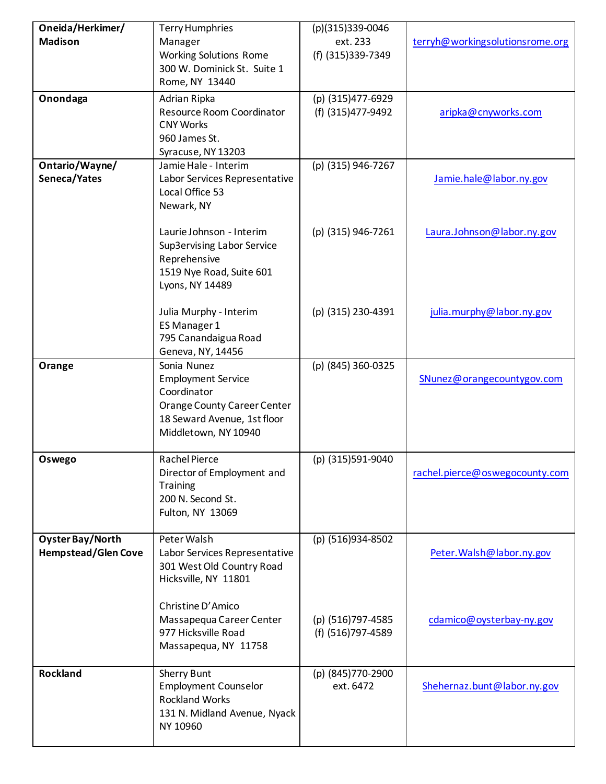| Oneida/Herkimer/           | <b>Terry Humphries</b>                            | (p)(315)339-0046               |                                 |
|----------------------------|---------------------------------------------------|--------------------------------|---------------------------------|
| <b>Madison</b>             | Manager                                           | ext. 233                       | terryh@workingsolutionsrome.org |
|                            | <b>Working Solutions Rome</b>                     | (f) (315)339-7349              |                                 |
|                            | 300 W. Dominick St. Suite 1                       |                                |                                 |
|                            | Rome, NY 13440                                    |                                |                                 |
| Onondaga                   | Adrian Ripka                                      | (p) (315)477-6929              |                                 |
|                            | Resource Room Coordinator                         | (f) (315) 477-9492             | aripka@cnyworks.com             |
|                            | <b>CNY Works</b>                                  |                                |                                 |
|                            | 960 James St.                                     |                                |                                 |
|                            | Syracuse, NY 13203                                |                                |                                 |
| Ontario/Wayne/             | Jamie Hale - Interim                              | (p) (315) 946-7267             |                                 |
| Seneca/Yates               | Labor Services Representative                     |                                | Jamie.hale@labor.ny.gov         |
|                            | Local Office 53                                   |                                |                                 |
|                            | Newark, NY                                        |                                |                                 |
|                            |                                                   |                                |                                 |
|                            | Laurie Johnson - Interim                          | (p) (315) 946-7261             | Laura.Johnson@labor.ny.gov      |
|                            | Sup3ervising Labor Service                        |                                |                                 |
|                            | Reprehensive                                      |                                |                                 |
|                            | 1519 Nye Road, Suite 601                          |                                |                                 |
|                            | Lyons, NY 14489                                   |                                |                                 |
|                            |                                                   |                                |                                 |
|                            | Julia Murphy - Interim                            | (p) (315) 230-4391             | julia.murphy@labor.ny.gov       |
|                            | ES Manager 1                                      |                                |                                 |
|                            | 795 Canandaigua Road                              |                                |                                 |
|                            | Geneva, NY, 14456                                 |                                |                                 |
| Orange                     | Sonia Nunez<br><b>Employment Service</b>          | (p) (845) 360-0325             | SNunez@orangecountygov.com      |
|                            | Coordinator                                       |                                |                                 |
|                            | Orange County Career Center                       |                                |                                 |
|                            | 18 Seward Avenue, 1st floor                       |                                |                                 |
|                            | Middletown, NY 10940                              |                                |                                 |
|                            |                                                   |                                |                                 |
| Oswego                     | <b>Rachel Pierce</b>                              | (p) (315)591-9040              |                                 |
|                            | Director of Employment and                        |                                | rachel.pierce@oswegocounty.com  |
|                            | <b>Training</b>                                   |                                |                                 |
|                            | 200 N. Second St.                                 |                                |                                 |
|                            | Fulton, NY 13069                                  |                                |                                 |
|                            |                                                   |                                |                                 |
| <b>Oyster Bay/North</b>    | Peter Walsh                                       | (p) (516)934-8502              |                                 |
| <b>Hempstead/Glen Cove</b> | Labor Services Representative                     |                                | Peter. Walsh@labor.ny.gov       |
|                            | 301 West Old Country Road                         |                                |                                 |
|                            | Hicksville, NY 11801                              |                                |                                 |
|                            |                                                   |                                |                                 |
|                            | Christine D'Amico                                 |                                |                                 |
|                            | Massapequa Career Center                          | (p) (516)797-4585              | cdamico@oysterbay-ny.gov        |
|                            | 977 Hicksville Road                               | (f) (516)797-4589              |                                 |
|                            | Massapequa, NY 11758                              |                                |                                 |
|                            |                                                   |                                |                                 |
| <b>Rockland</b>            | <b>Sherry Bunt</b><br><b>Employment Counselor</b> | (p) (845)770-2900<br>ext. 6472 | Shehernaz.bunt@labor.ny.gov     |
|                            | <b>Rockland Works</b>                             |                                |                                 |
|                            | 131 N. Midland Avenue, Nyack                      |                                |                                 |
|                            | NY 10960                                          |                                |                                 |
|                            |                                                   |                                |                                 |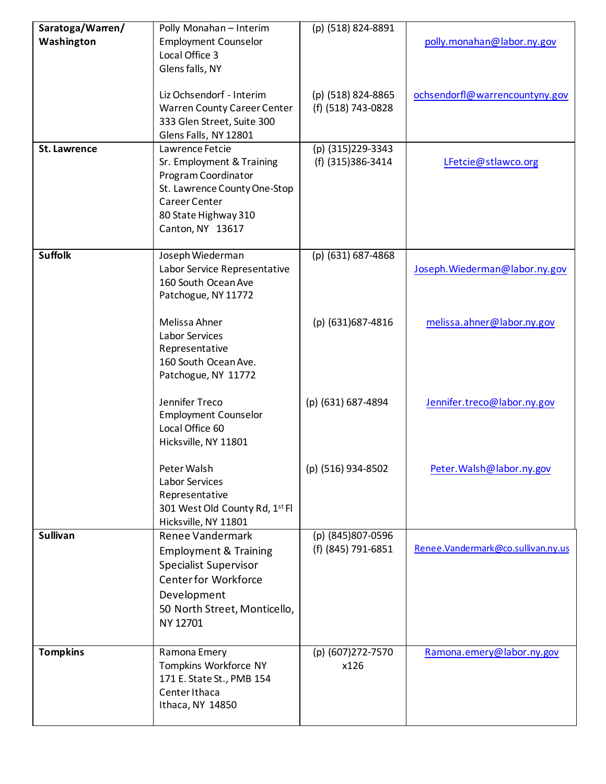| Saratoga/Warren/    | Polly Monahan - Interim            | (p) (518) 824-8891 |                                    |
|---------------------|------------------------------------|--------------------|------------------------------------|
| Washington          | <b>Employment Counselor</b>        |                    | polly.monahan@labor.ny.gov         |
|                     | Local Office 3                     |                    |                                    |
|                     | Glens falls, NY                    |                    |                                    |
|                     |                                    |                    |                                    |
|                     | Liz Ochsendorf - Interim           | (p) (518) 824-8865 | ochsendorfl@warrencountyny.gov     |
|                     | <b>Warren County Career Center</b> | (f) (518) 743-0828 |                                    |
|                     | 333 Glen Street, Suite 300         |                    |                                    |
|                     | Glens Falls, NY 12801              |                    |                                    |
| <b>St. Lawrence</b> | Lawrence Fetcie                    | (p) (315)229-3343  |                                    |
|                     | Sr. Employment & Training          | (f) (315)386-3414  | LFetcie@stlawco.org                |
|                     | Program Coordinator                |                    |                                    |
|                     | St. Lawrence County One-Stop       |                    |                                    |
|                     | <b>Career Center</b>               |                    |                                    |
|                     | 80 State Highway 310               |                    |                                    |
|                     | Canton, NY 13617                   |                    |                                    |
|                     |                                    |                    |                                    |
| <b>Suffolk</b>      | Joseph Wiederman                   | (p) (631) 687-4868 |                                    |
|                     | Labor Service Representative       |                    | Joseph. Wiederman@labor.ny.gov     |
|                     | 160 South Ocean Ave                |                    |                                    |
|                     | Patchogue, NY 11772                |                    |                                    |
|                     |                                    |                    |                                    |
|                     | Melissa Ahner                      | (p) (631)687-4816  | melissa.ahner@labor.ny.gov         |
|                     | Labor Services                     |                    |                                    |
|                     | Representative                     |                    |                                    |
|                     | 160 South Ocean Ave.               |                    |                                    |
|                     | Patchogue, NY 11772                |                    |                                    |
|                     |                                    |                    |                                    |
|                     | Jennifer Treco                     | (p) (631) 687-4894 | Jennifer.treco@labor.ny.gov        |
|                     | <b>Employment Counselor</b>        |                    |                                    |
|                     | Local Office 60                    |                    |                                    |
|                     | Hicksville, NY 11801               |                    |                                    |
|                     |                                    |                    |                                    |
|                     | Peter Walsh                        | (p) (516) 934-8502 | Peter. Walsh@labor.ny.gov          |
|                     | Labor Services                     |                    |                                    |
|                     | Representative                     |                    |                                    |
|                     | 301 West Old County Rd, 1st Fl     |                    |                                    |
|                     | Hicksville, NY 11801               |                    |                                    |
| <b>Sullivan</b>     | Renee Vandermark                   | (p) (845)807-0596  |                                    |
|                     | <b>Employment &amp; Training</b>   | (f) (845) 791-6851 | Renee.Vandermark@co.sullivan.ny.us |
|                     | <b>Specialist Supervisor</b>       |                    |                                    |
|                     | <b>Center for Workforce</b>        |                    |                                    |
|                     | Development                        |                    |                                    |
|                     | 50 North Street, Monticello,       |                    |                                    |
|                     | NY 12701                           |                    |                                    |
|                     |                                    |                    |                                    |
| <b>Tompkins</b>     | Ramona Emery                       | (p) (607)272-7570  | Ramona.emery@labor.ny.gov          |
|                     | Tompkins Workforce NY              | x126               |                                    |
|                     | 171 E. State St., PMB 154          |                    |                                    |
|                     | Center Ithaca                      |                    |                                    |
|                     | Ithaca, NY 14850                   |                    |                                    |
|                     |                                    |                    |                                    |